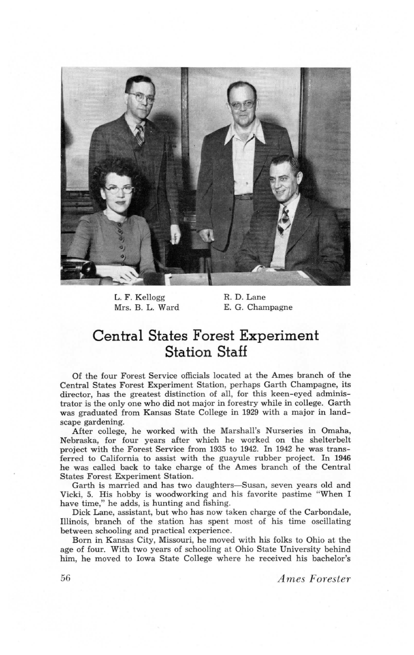

L. F. Kellogg Mrs. B. L. Ward

R. D. Lane E. G. Champagne

## Central States Forest Experiment **Station Staff**

of the four Forest Service officials located at the Ames branch of the central states Forest Experiment Station, perhaps Garth Champagne, its director, has the greatest distinction of all, for this keen-eyed administrator is the only one who did not major in forestry while in college. Garth was graduated from Kansas State College in 1929 with a major in landscape gardening.

After college, he worked with the Marshall's Nurseries in Omaha, Nebraska, for four years after which he worked on the shelterbelt project with the Forest Service from 1935 to 1942. In 1942 he was transferred to California to assist with the guayule rubber project. In 1946 he was called back to take charge of the Ames branch of the Central States Forest Experiment Station.

Garth is married and has two daughters—Susan, seven years old and Vicki, 5. His hobby is woodworking and his favorite pastime "When I have time,'' he adds, is hunting and fishing.

Dick Lane, assistant, but who has now taken charge of the Carbondale, Illinois, branch of the station has spent most of his time oscillating between schooling and practical experience.

Born in Kansas City, Missouri, he moved with his folks to Ohio at the age of four. With two years of schooling at Ohio State University behind him, he moved to Iowa State College where he received his bachelor's

56 Ames Forester